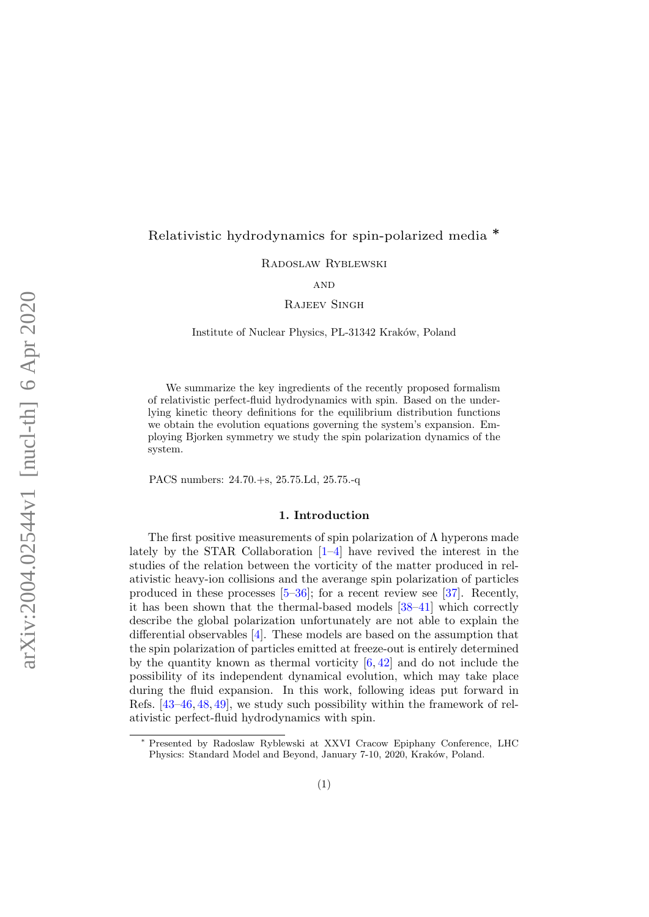# Relativistic hydrodynamics for spin-polarized media ∗

Radoslaw Ryblewski

# **AND**

Rajeev Singh

Institute of Nuclear Physics, PL-31342 Kraków, Poland

We summarize the key ingredients of the recently proposed formalism of relativistic perfect-fluid hydrodynamics with spin. Based on the underlying kinetic theory definitions for the equilibrium distribution functions we obtain the evolution equations governing the system's expansion. Employing Bjorken symmetry we study the spin polarization dynamics of the system.

PACS numbers: 24.70.+s, 25.75.Ld, 25.75.-q

### 1. Introduction

The first positive measurements of spin polarization of  $\Lambda$  hyperons made lately by the STAR Collaboration [\[1](#page-8-0)[–4\]](#page-8-1) have revived the interest in the studies of the relation between the vorticity of the matter produced in relativistic heavy-ion collisions and the averange spin polarization of particles produced in these processes  $[5-36]$  $[5-36]$ ; for a recent review see  $[37]$ . Recently, it has been shown that the thermal-based models [\[38–](#page-9-2)[41\]](#page-9-3) which correctly describe the global polarization unfortunately are not able to explain the differential observables [\[4\]](#page-8-1). These models are based on the assumption that the spin polarization of particles emitted at freeze-out is entirely determined by the quantity known as thermal vorticity  $[6, 42]$  $[6, 42]$  $[6, 42]$  and do not include the possibility of its independent dynamical evolution, which may take place during the fluid expansion. In this work, following ideas put forward in Refs. [\[43–](#page-9-5)[46,](#page-9-6) [48,](#page-10-0) [49\]](#page-10-1), we study such possibility within the framework of relativistic perfect-fluid hydrodynamics with spin.

Presented by Radoslaw Ryblewski at XXVI Cracow Epiphany Conference, LHC Physics: Standard Model and Beyond, January 7-10, 2020, Kraków, Poland.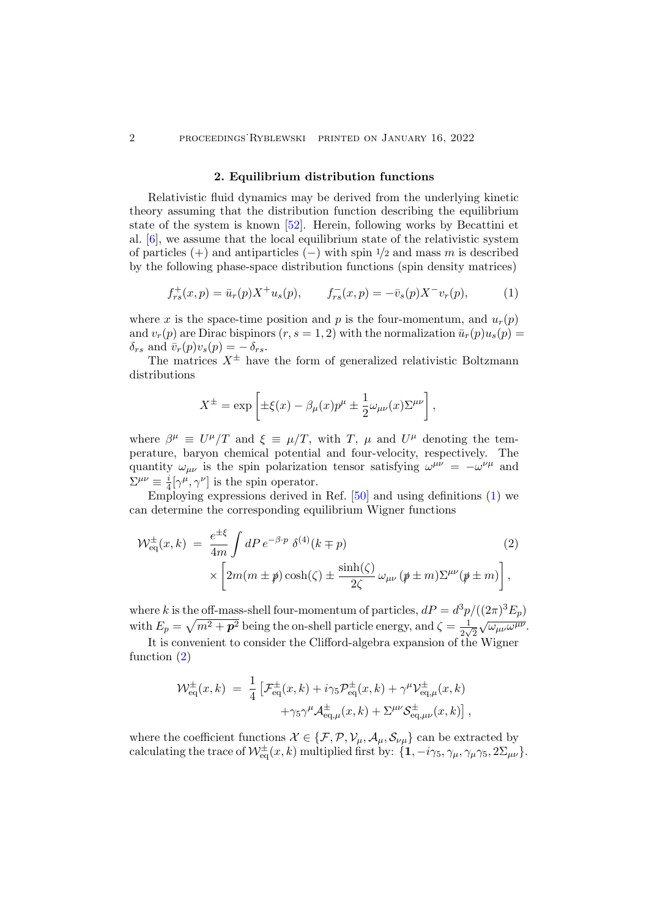### 2. Equilibrium distribution functions

Relativistic fluid dynamics may be derived from the underlying kinetic theory assuming that the distribution function describing the equilibrium state of the system is known [\[52\]](#page-10-2). Herein, following works by Becattini et al. [\[6\]](#page-8-3), we assume that the local equilibrium state of the relativistic system of particles  $(+)$  and antiparticles  $(-)$  with spin  $\frac{1}{2}$  and mass m is described by the following phase-space distribution functions (spin density matrices)

<span id="page-1-0"></span>
$$
f_{rs}^+(x,p) = \bar{u}_r(p)X^+u_s(p), \qquad f_{rs}^-(x,p) = -\bar{v}_s(p)X^-v_r(p), \tag{1}
$$

where x is the space-time position and p is the four-momentum, and  $u_r(p)$ and  $v_r(p)$  are Dirac bispinors  $(r, s = 1, 2)$  with the normalization  $\bar{u}_r(p)u_s(p) =$  $\delta_{rs}$  and  $\bar{v}_r(p)v_s(p) = -\delta_{rs}$ .

The matrices  $X^{\pm}$  have the form of generalized relativistic Boltzmann distributions

<span id="page-1-1"></span>
$$
X^{\pm} = \exp \left[ \pm \xi(x) - \beta_{\mu}(x) p^{\mu} \pm \frac{1}{2} \omega_{\mu\nu}(x) \Sigma^{\mu\nu} \right],
$$

where  $\beta^{\mu} \equiv U^{\mu}/T$  and  $\xi \equiv \mu/T$ , with T,  $\mu$  and  $U^{\mu}$  denoting the temperature, baryon chemical potential and four-velocity, respectively. The quantity  $\omega_{\mu\nu}$  is the spin polarization tensor satisfying  $\omega^{\mu\nu} = -\omega^{\nu\mu}$  and  $\Sigma^{\mu\nu}\equiv\frac{i}{4}$  $\frac{i}{4}[\gamma^{\mu}, \gamma^{\nu}]$  is the spin operator.

Employing expressions derived in Ref. [\[50\]](#page-10-3) and using definitions [\(1\)](#page-1-0) we can determine the corresponding equilibrium Wigner functions

$$
\mathcal{W}_{\text{eq}}^{\pm}(x,k) = \frac{e^{\pm \xi}}{4m} \int dP \, e^{-\beta \cdot p} \, \delta^{(4)}(k \mp p) \tag{2}
$$
\n
$$
\times \left[ 2m(m \pm p) \cosh(\zeta) \pm \frac{\sinh(\zeta)}{2\zeta} \, \omega_{\mu\nu} \left( p \pm m \right) \Sigma^{\mu\nu} (p \pm m) \right],
$$

where k is the off-mass-shell four-momentum of particles,  $dP = d^3p/((2\pi)^3 E_p)$ with  $E_p = \sqrt{m^2 + p^2}$  being the on-shell particle energy, and  $\zeta = \frac{1}{2m}$  $\frac{1}{2\sqrt{2}}$  $\sqrt{\omega_{\mu\nu}\omega^{\mu\nu}}$ .

It is convenient to consider the Clifford-algebra expansion of the Wigner function [\(2\)](#page-1-1)

$$
\mathcal{W}_{\text{eq}}^{\pm}(x,k) = \frac{1}{4} \left[ \mathcal{F}_{\text{eq}}^{\pm}(x,k) + i \gamma_5 \mathcal{P}_{\text{eq}}^{\pm}(x,k) + \gamma^{\mu} \mathcal{V}_{\text{eq},\mu}^{\pm}(x,k) \right. \\ \left. + \gamma_5 \gamma^{\mu} \mathcal{A}_{\text{eq},\mu}^{\pm}(x,k) + \Sigma^{\mu \nu} \mathcal{S}_{\text{eq},\mu \nu}^{\pm}(x,k) \right],
$$

where the coefficient functions  $\mathcal{X} \in \{\mathcal{F}, \mathcal{P}, \mathcal{V}_{\mu}, \mathcal{A}_{\mu}, \mathcal{S}_{\nu\mu}\}\)$  can be extracted by calculating the trace of  $\mathcal{W}^{\pm}_{eq}(x,k)$  multiplied first by:  $\{1, -i\gamma_5, \gamma_\mu, \gamma_\mu \gamma_5, 2\Sigma_{\mu\nu}\}.$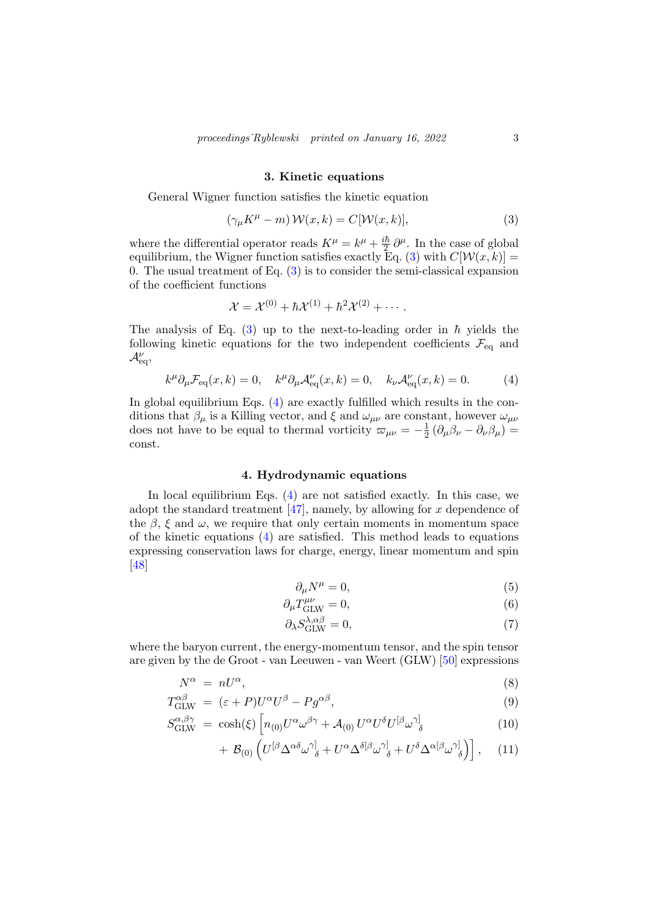### 3. Kinetic equations

General Wigner function satisfies the kinetic equation

<span id="page-2-0"></span>
$$
(\gamma_{\mu}K^{\mu} - m) \mathcal{W}(x, k) = C[\mathcal{W}(x, k)], \qquad (3)
$$

where the differential operator reads  $K^{\mu} = k^{\mu} + \frac{i\hbar}{2}$  $\frac{i\hbar}{2}\partial^{\mu}$ . In the case of global equilibrium, the Wigner function satisfies exactly Eq. [\(3\)](#page-2-0) with  $C[\mathcal{W}(x, k)] =$ 0. The usual treatment of Eq.  $(3)$  is to consider the semi-classical expansion of the coefficient functions

<span id="page-2-1"></span>
$$
\mathcal{X} = \mathcal{X}^{(0)} + \hbar \mathcal{X}^{(1)} + \hbar^2 \mathcal{X}^{(2)} + \cdots.
$$

The analysis of Eq. [\(3\)](#page-2-0) up to the next-to-leading order in  $\hbar$  yields the following kinetic equations for the two independent coefficients  $\mathcal{F}_{eq}$  and  $\mathcal{A}_{\mathrm{eq}}^{\nu}$ 

$$
k^{\mu}\partial_{\mu}\mathcal{F}_{\text{eq}}(x,k) = 0, \quad k^{\mu}\partial_{\mu}\mathcal{A}_{\text{eq}}^{\nu}(x,k) = 0, \quad k_{\nu}\mathcal{A}_{\text{eq}}^{\nu}(x,k) = 0. \tag{4}
$$

In global equilibrium Eqs. [\(4\)](#page-2-1) are exactly fulfilled which results in the conditions that  $\beta_{\mu}$  is a Killing vector, and  $\xi$  and  $\omega_{\mu\nu}$  are constant, however  $\omega_{\mu\nu}$ does not have to be equal to thermal vorticity  $\varpi_{\mu\nu} = -\frac{1}{2}$  $\frac{1}{2} \left( \partial_\mu \beta_\nu - \partial_\nu \beta_\mu \right) =$ const.

# 4. Hydrodynamic equations

In local equilibrium Eqs. [\(4\)](#page-2-1) are not satisfied exactly. In this case, we adopt the standard treatment  $[47]$ , namely, by allowing for x dependence of the  $\beta$ ,  $\xi$  and  $\omega$ , we require that only certain moments in momentum space of the kinetic equations [\(4\)](#page-2-1) are satisfied. This method leads to equations expressing conservation laws for charge, energy, linear momentum and spin [\[48\]](#page-10-0)

<span id="page-2-2"></span>
$$
\partial_{\mu}N^{\mu} = 0,\tag{5}
$$

$$
\partial_{\mu}T_{\rm GLW}^{\mu\nu} = 0,\tag{6}
$$

$$
\partial_{\lambda} S_{\text{GLW}}^{\lambda,\alpha\beta} = 0,\tag{7}
$$

where the baryon current, the energy-momentum tensor, and the spin tensor are given by the de Groot - van Leeuwen - van Weert (GLW) [\[50\]](#page-10-3) expressions

$$
N^{\alpha} = nU^{\alpha},\tag{8}
$$

$$
T^{\alpha\beta}_{\text{GLW}} = (\varepsilon + P)U^{\alpha}U^{\beta} - Pg^{\alpha\beta}, \tag{9}
$$

$$
S^{\alpha,\beta\gamma}_{\text{GLW}} = \cosh(\xi) \left[ n_{(0)} U^{\alpha} \omega^{\beta\gamma} + \mathcal{A}_{(0)} U^{\alpha} U^{\delta} U^{[\beta} \omega^{\gamma]}_{\delta} \right]
$$
(10)

$$
+ \mathcal{B}_{(0)} \left( U^{[\beta} \Delta^{\alpha \delta} \omega^{\gamma]}_{\delta} + U^{\alpha} \Delta^{\delta [\beta} \omega^{\gamma]}_{\delta} + U^{\delta} \Delta^{\alpha [\beta} \omega^{\gamma]}_{\delta} \right) \right], \quad (11)
$$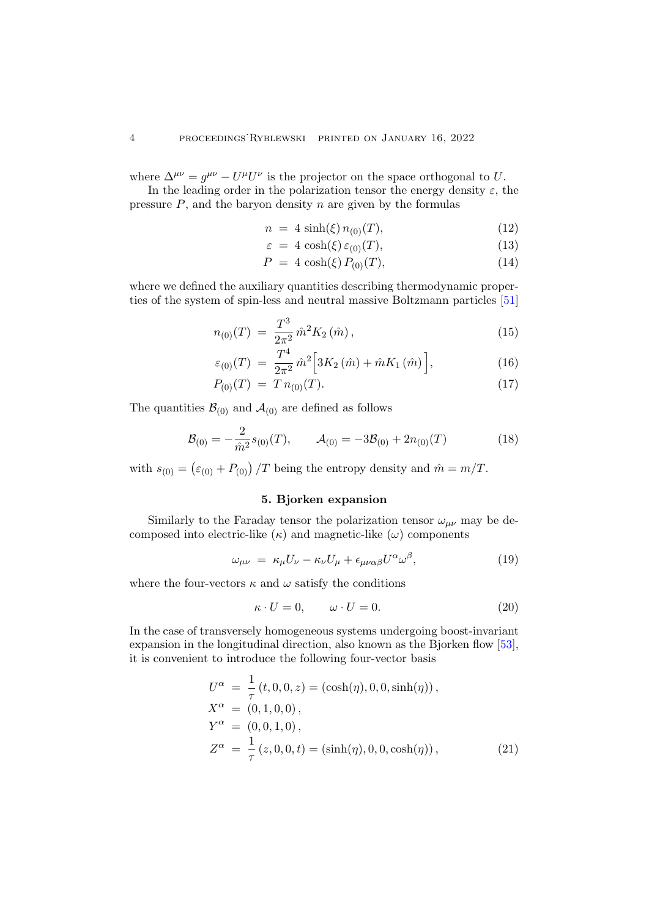where  $\Delta^{\mu\nu} = g^{\mu\nu} - U^{\mu}U^{\nu}$  is the projector on the space orthogonal to U.

In the leading order in the polarization tensor the energy density  $\varepsilon$ , the pressure  $P$ , and the baryon density  $n$  are given by the formulas

$$
n = 4 \sinh(\xi) n_{(0)}(T), \tag{12}
$$

$$
\varepsilon = 4 \cosh(\xi) \, \varepsilon_{(0)}(T), \tag{13}
$$

$$
P = 4 \cosh(\xi) P_{(0)}(T), \tag{14}
$$

where we defined the auxiliary quantities describing thermodynamic properties of the system of spin-less and neutral massive Boltzmann particles [\[51\]](#page-10-4)

$$
n_{(0)}(T) = \frac{T^3}{2\pi^2} \hat{m}^2 K_2(\hat{m}), \qquad (15)
$$

$$
\varepsilon_{(0)}(T) = \frac{T^4}{2\pi^2} \hat{m}^2 \left[ 3K_2(\hat{m}) + \hat{m}K_1(\hat{m}) \right],\tag{16}
$$

$$
P_{(0)}(T) = T n_{(0)}(T). \tag{17}
$$

The quantities  $\mathcal{B}_{(0)}$  and  $\mathcal{A}_{(0)}$  are defined as follows

$$
\mathcal{B}_{(0)} = -\frac{2}{\hat{m}^2} s_{(0)}(T), \qquad \mathcal{A}_{(0)} = -3\mathcal{B}_{(0)} + 2n_{(0)}(T) \tag{18}
$$

with  $s_{(0)} = (\varepsilon_{(0)} + P_{(0)}) / T$  being the entropy density and  $\hat{m} = m / T$ .

# 5. Bjorken expansion

Similarly to the Faraday tensor the polarization tensor  $\omega_{\mu\nu}$  may be decomposed into electric-like  $(\kappa)$  and magnetic-like  $(\omega)$  components

$$
\omega_{\mu\nu} = \kappa_{\mu} U_{\nu} - \kappa_{\nu} U_{\mu} + \epsilon_{\mu\nu\alpha\beta} U^{\alpha} \omega^{\beta}, \tag{19}
$$

where the four-vectors  $\kappa$  and  $\omega$  satisfy the conditions

<span id="page-3-1"></span>
$$
\kappa \cdot U = 0, \qquad \omega \cdot U = 0. \tag{20}
$$

In the case of transversely homogeneous systems undergoing boost-invariant expansion in the longitudinal direction, also known as the Bjorken flow [\[53\]](#page-10-5), it is convenient to introduce the following four-vector basis

<span id="page-3-0"></span>
$$
U^{\alpha} = \frac{1}{\tau} (t, 0, 0, z) = (\cosh(\eta), 0, 0, \sinh(\eta)),
$$
  
\n
$$
X^{\alpha} = (0, 1, 0, 0),
$$
  
\n
$$
Y^{\alpha} = (0, 0, 1, 0),
$$
  
\n
$$
Z^{\alpha} = \frac{1}{\tau} (z, 0, 0, t) = (\sinh(\eta), 0, 0, \cosh(\eta)),
$$
\n(21)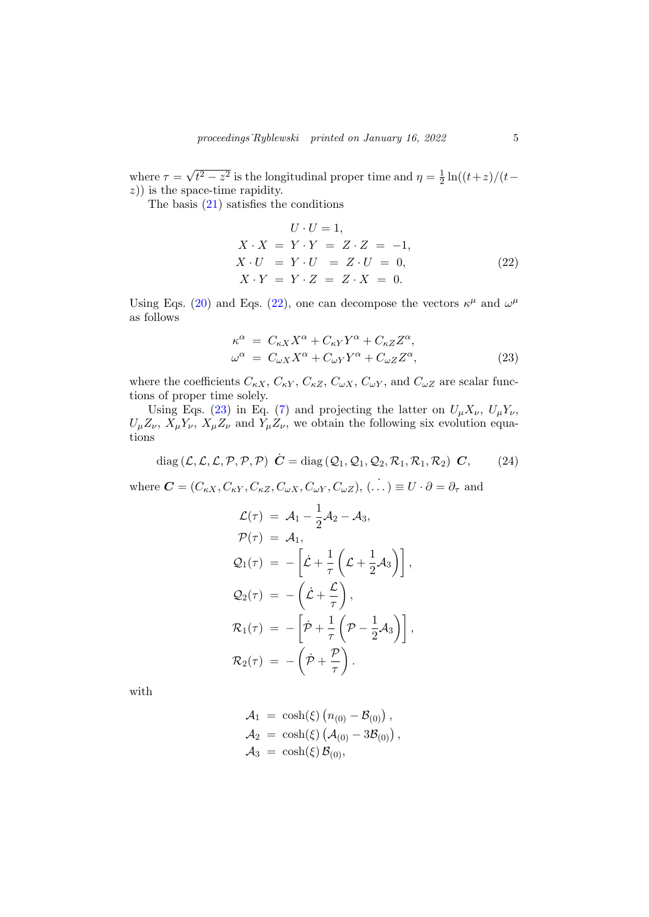where  $\tau =$ √  $t^2 - z^2$  is the longitudinal proper time and  $\eta = \frac{1}{2}$  $rac{1}{2}\ln((t+z)/(t-\$  $(z)$ ) is the space-time rapidity.

The basis [\(21\)](#page-3-0) satisfies the conditions

<span id="page-4-0"></span>
$$
U \cdot U = 1,
$$
  
\n
$$
X \cdot X = Y \cdot Y = Z \cdot Z = -1,
$$
  
\n
$$
X \cdot U = Y \cdot U = Z \cdot U = 0,
$$
  
\n
$$
X \cdot Y = Y \cdot Z = Z \cdot X = 0.
$$
\n(22)

Using Eqs. [\(20\)](#page-3-1) and Eqs. [\(22\)](#page-4-0), one can decompose the vectors  $\kappa^{\mu}$  and  $\omega^{\mu}$ as follows

<span id="page-4-1"></span>
$$
\begin{aligned}\n\kappa^{\alpha} &= C_{\kappa X} X^{\alpha} + C_{\kappa Y} Y^{\alpha} + C_{\kappa Z} Z^{\alpha}, \\
\omega^{\alpha} &= C_{\omega X} X^{\alpha} + C_{\omega Y} Y^{\alpha} + C_{\omega Z} Z^{\alpha},\n\end{aligned} \tag{23}
$$

where the coefficients  $C_{\kappa X}$ ,  $C_{\kappa Y}$ ,  $C_{\kappa Z}$ ,  $C_{\omega X}$ ,  $C_{\omega Y}$ , and  $C_{\omega Z}$  are scalar functions of proper time solely.

Using Eqs. [\(23\)](#page-4-1) in Eq. [\(7\)](#page-2-2) and projecting the latter on  $U_{\mu}X_{\nu}$ ,  $U_{\mu}Y_{\nu}$ ,  $U_{\mu}Z_{\nu}$ ,  $X_{\mu}Y_{\nu}$ ,  $X_{\mu}Z_{\nu}$  and  $Y_{\mu}Z_{\nu}$ , we obtain the following six evolution equations

<span id="page-4-2"></span>
$$
diag\left(\mathcal{L}, \mathcal{L}, \mathcal{L}, \mathcal{P}, \mathcal{P}, \mathcal{P}\right) \quad \dot{\mathbf{C}} = diag\left(\mathcal{Q}_1, \mathcal{Q}_1, \mathcal{Q}_2, \mathcal{R}_1, \mathcal{R}_1, \mathcal{R}_2\right) \quad \mathbf{C}, \tag{24}
$$

where  $\mathbf{C} = (C_{\kappa X}, C_{\kappa Y}, C_{\kappa Z}, C_{\omega X}, C_{\omega Y}, C_{\omega Z}), (\dots) \equiv U \cdot \partial = \partial_{\tau}$  and  $\overline{1}$ 

<span id="page-4-3"></span>
$$
\mathcal{L}(\tau) = \mathcal{A}_1 - \frac{1}{2}\mathcal{A}_2 - \mathcal{A}_3,
$$
  
\n
$$
\mathcal{P}(\tau) = \mathcal{A}_1,
$$
  
\n
$$
\mathcal{Q}_1(\tau) = -\left[\dot{\mathcal{L}} + \frac{1}{\tau}\left(\mathcal{L} + \frac{1}{2}\mathcal{A}_3\right)\right],
$$
  
\n
$$
\mathcal{Q}_2(\tau) = -\left(\dot{\mathcal{L}} + \frac{\mathcal{L}}{\tau}\right),
$$
  
\n
$$
\mathcal{R}_1(\tau) = -\left[\dot{\mathcal{P}} + \frac{1}{\tau}\left(\mathcal{P} - \frac{1}{2}\mathcal{A}_3\right)\right],
$$
  
\n
$$
\mathcal{R}_2(\tau) = -\left(\dot{\mathcal{P}} + \frac{\mathcal{P}}{\tau}\right).
$$

with

$$
\mathcal{A}_1 = \cosh(\xi) (n_{(0)} - \mathcal{B}_{(0)}), \n\mathcal{A}_2 = \cosh(\xi) (\mathcal{A}_{(0)} - 3\mathcal{B}_{(0)}), \n\mathcal{A}_3 = \cosh(\xi) \mathcal{B}_{(0)},
$$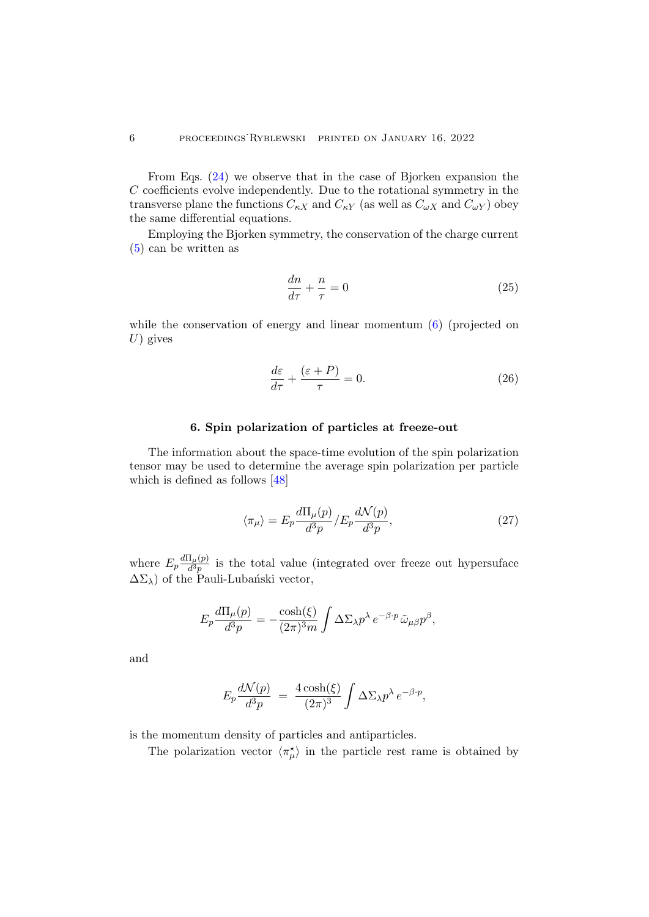From Eqs. [\(24\)](#page-4-2) we observe that in the case of Bjorken expansion the  $C$  coefficients evolve independently. Due to the rotational symmetry in the transverse plane the functions  $C_{\kappa X}$  and  $C_{\kappa Y}$  (as well as  $C_{\omega X}$  and  $C_{\omega Y}$ ) obey the same differential equations.

Employing the Bjorken symmetry, the conservation of the charge current [\(5\)](#page-2-2) can be written as

$$
\frac{dn}{d\tau} + \frac{n}{\tau} = 0\tag{25}
$$

while the conservation of energy and linear momentum  $(6)$  (projected on  $U$ ) gives

<span id="page-5-1"></span>
$$
\frac{d\varepsilon}{d\tau} + \frac{(\varepsilon + P)}{\tau} = 0.
$$
\n(26)

# 6. Spin polarization of particles at freeze-out

The information about the space-time evolution of the spin polarization tensor may be used to determine the average spin polarization per particle which is defined as follows [\[48\]](#page-10-0)

<span id="page-5-0"></span>
$$
\langle \pi_{\mu} \rangle = E_p \frac{d\Pi_{\mu}(p)}{d^3 p} / E_p \frac{d\mathcal{N}(p)}{d^3 p},\tag{27}
$$

where  $E_p \frac{d\Pi_\mu(p)}{d^3p}$  $\frac{d^2\mu(\mathcal{V})}{d^3p}$  is the total value (integrated over freeze out hypersuface  $\Delta\Sigma_{\lambda}$ ) of the Pauli-Lubański vector,

$$
E_p \frac{d\Pi_\mu(p)}{d^3 p} = -\frac{\cosh(\xi)}{(2\pi)^3 m} \int \Delta\Sigma_\lambda p^\lambda e^{-\beta \cdot p} \tilde{\omega}_{\mu\beta} p^\beta,
$$

and

$$
E_p \frac{d\mathcal{N}(p)}{d^3p} = \frac{4\cosh(\xi)}{(2\pi)^3} \int \Delta\Sigma_{\lambda} p^{\lambda} e^{-\beta \cdot p},
$$

is the momentum density of particles and antiparticles.

The polarization vector  $\langle \pi_{\mu}^* \rangle$  in the particle rest rame is obtained by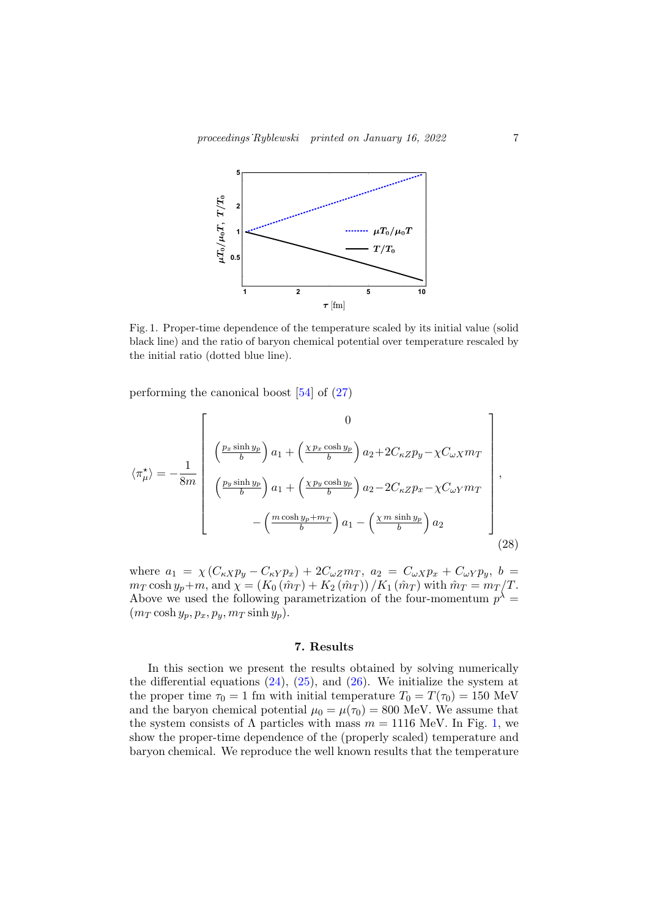<span id="page-6-0"></span>

Fig. 1. Proper-time dependence of the temperature scaled by its initial value (solid black line) and the ratio of baryon chemical potential over temperature rescaled by the initial ratio (dotted blue line).

performing the canonical boost [\[54\]](#page-10-6) of [\(27\)](#page-5-0)

$$
\langle \pi_{\mu}^{\star} \rangle = -\frac{1}{8m} \left[ \begin{array}{c} 0 \\ \left( \frac{p_x \sinh y_p}{b} \right) a_1 + \left( \frac{\chi p_x \cosh y_p}{b} \right) a_2 + 2C_{\kappa Z} p_y - \chi C_{\omega X} m_T \\ \left( \frac{p_y \sinh y_p}{b} \right) a_1 + \left( \frac{\chi p_y \cosh y_p}{b} \right) a_2 - 2C_{\kappa Z} p_x - \chi C_{\omega Y} m_T \\ - \left( \frac{m \cosh y_p + m_T}{b} \right) a_1 - \left( \frac{\chi m \sinh y_p}{b} \right) a_2 \end{array} \right],
$$
\n(28)

where  $a_1 = \chi (C_{\kappa X} p_y - C_{\kappa Y} p_x) + 2C_{\omega Z} m_T$ ,  $a_2 = C_{\omega X} p_x + C_{\omega Y} p_y$ ,  $b =$  $m_T \cosh y_p + m$ , and  $\chi = (K_0 (\hat{m}_T) + K_2 (\hat{m}_T)) / K_1 (\hat{m}_T)$  with  $\hat{m}_T = m_T / T$ . Above we used the following parametrization of the four-momentum  $p^{\lambda} =$  $(m_T \cosh y_p, p_x, p_y, m_T \sinh y_p).$ 

### 7. Results

In this section we present the results obtained by solving numerically the differential equations  $(24)$ ,  $(25)$ , and  $(26)$ . We initialize the system at the proper time  $\tau_0 = 1$  fm with initial temperature  $T_0 = T(\tau_0) = 150$  MeV and the baryon chemical potential  $\mu_0 = \mu(\tau_0) = 800$  MeV. We assume that the system consists of  $\Lambda$  particles with mass  $m = 1116$  MeV. In Fig. [1,](#page-6-0) we show the proper-time dependence of the (properly scaled) temperature and baryon chemical. We reproduce the well known results that the temperature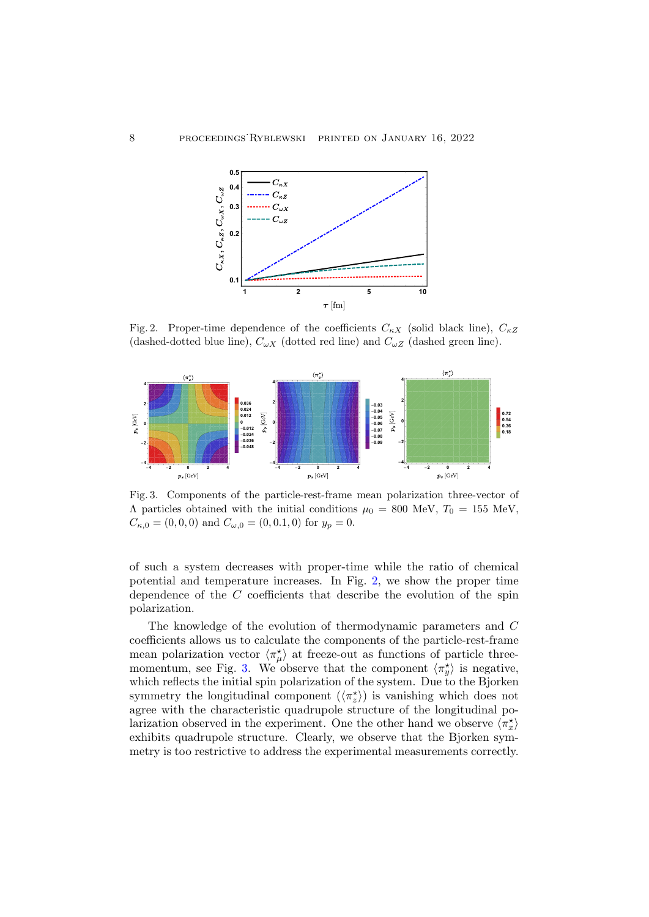<span id="page-7-0"></span>

Fig. 2. Proper-time dependence of the coefficients  $C_{\kappa X}$  (solid black line),  $C_{\kappa Z}$ (dashed-dotted blue line),  $C_{\omega X}$  (dotted red line) and  $C_{\omega Z}$  (dashed green line).



<span id="page-7-1"></span>Fig. 3. Components of the particle-rest-frame mean polarization three-vector of  $Λ$  particles obtained with the initial conditions  $μ<sub>0</sub> = 800$  MeV,  $T<sub>0</sub> = 155$  MeV,  $C_{\kappa,0} = (0,0,0)$  and  $C_{\omega,0} = (0,0.1,0)$  for  $y_p = 0$ .

of such a system decreases with proper-time while the ratio of chemical potential and temperature increases. In Fig. [2,](#page-7-0) we show the proper time dependence of the C coefficients that describe the evolution of the spin polarization.

The knowledge of the evolution of thermodynamic parameters and C coefficients allows us to calculate the components of the particle-rest-frame mean polarization vector  $\langle \pi_{\mu}^{\star} \rangle$  at freeze-out as functions of particle three-momentum, see Fig. [3.](#page-7-1) We observe that the component  $\langle \pi_y^* \rangle$  is negative, which reflects the initial spin polarization of the system. Due to the Bjorken symmetry the longitudinal component  $(\langle \pi_z^* \rangle)$  is vanishing which does not agree with the characteristic quadrupole structure of the longitudinal polarization observed in the experiment. One the other hand we observe  $\langle \pi_x^* \rangle$ exhibits quadrupole structure. Clearly, we observe that the Bjorken symmetry is too restrictive to address the experimental measurements correctly.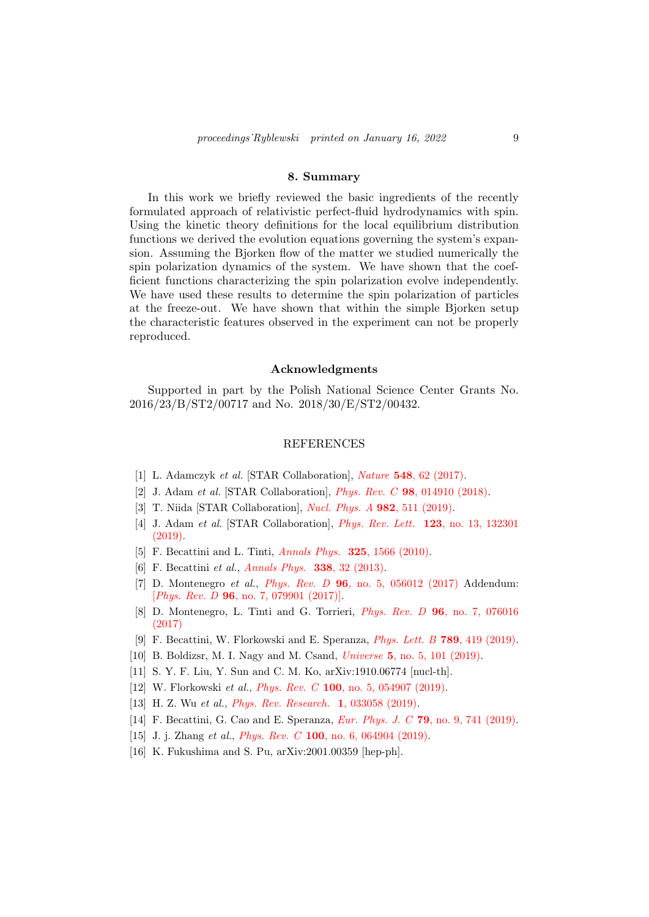#### 8. Summary

In this work we briefly reviewed the basic ingredients of the recently formulated approach of relativistic perfect-fluid hydrodynamics with spin. Using the kinetic theory definitions for the local equilibrium distribution functions we derived the evolution equations governing the system's expansion. Assuming the Bjorken flow of the matter we studied numerically the spin polarization dynamics of the system. We have shown that the coefficient functions characterizing the spin polarization evolve independently. We have used these results to determine the spin polarization of particles at the freeze-out. We have shown that within the simple Bjorken setup the characteristic features observed in the experiment can not be properly reproduced.

### Acknowledgments

Supported in part by the Polish National Science Center Grants No. 2016/23/B/ST2/00717 and No. 2018/30/E/ST2/00432.

### REFERENCES

- <span id="page-8-0"></span>[1] L. Adamczyk et al. [STAR Collaboration], Nature 548, 62 (2017).
- [2] J. Adam et al. [STAR Collaboration], Phys. Rev. C 98, 014910 (2018).
- [3] T. Niida [STAR Collaboration], Nucl. Phys. A 982, 511 (2019).
- <span id="page-8-1"></span>[4] J. Adam et al. [STAR Collaboration], Phys. Rev. Lett. 123, no. 13, 132301 (2019).
- <span id="page-8-2"></span>[5] F. Becattini and L. Tinti, Annals Phys. 325, 1566 (2010).
- <span id="page-8-3"></span>[6] F. Becattini *et al., Annals Phys.* **338**, 32 (2013).
- [7] D. Montenegro et al., Phys. Rev.  $D$  96, no. 5, 056012 (2017) Addendum: [*Phys. Rev. D* **96**, no. 7, 079901 (2017)].
- [8] D. Montenegro, L. Tinti and G. Torrieri, Phys. Rev. D 96, no. 7, 076016 (2017)
- [9] F. Becattini, W. Florkowski and E. Speranza, Phys. Lett. B 789, 419 (2019).
- [10] B. Boldizsr, M. I. Nagy and M. Csand, *Universe* 5, no. 5, 101 (2019).
- [11] S. Y. F. Liu, Y. Sun and C. M. Ko, arXiv:1910.06774 [nucl-th].
- [12] W. Florkowski et al., *Phys. Rev. C* 100, no. 5, 054907 (2019).
- [13] H. Z. Wu et al., *Phys. Rev. Research.* 1, 033058 (2019).
- [14] F. Becattini, G. Cao and E. Speranza, *Eur. Phys. J. C* 79, no. 9, 741 (2019).
- [15] J. j. Zhang et al., *Phys. Rev. C* **100**, no. 6, 064904 (2019).
- [16] K. Fukushima and S. Pu, arXiv:2001.00359 [hep-ph].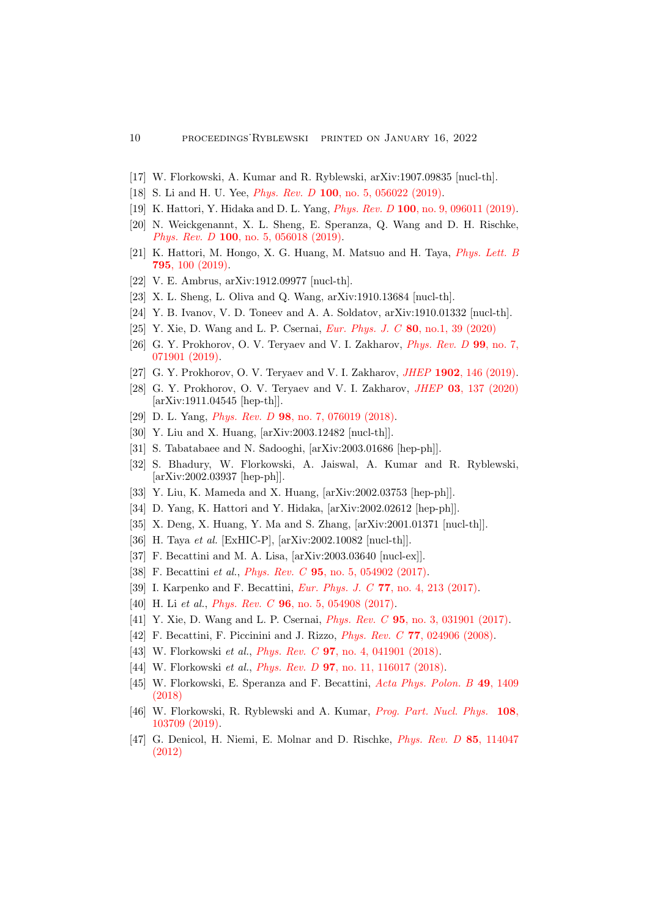- [17] W. Florkowski, A. Kumar and R. Ryblewski, arXiv:1907.09835 [nucl-th].
- [18] S. Li and H. U. Yee, *Phys. Rev. D* 100, no. 5, 056022 (2019).
- [19] K. Hattori, Y. Hidaka and D. L. Yang, *Phys. Rev. D* 100, no. 9, 096011 (2019).
- [20] N. Weickgenannt, X. L. Sheng, E. Speranza, Q. Wang and D. H. Rischke, Phys. Rev. D 100, no. 5, 056018 (2019).
- [21] K. Hattori, M. Hongo, X. G. Huang, M. Matsuo and H. Taya, Phys. Lett. B 795, 100 (2019).
- [22] V. E. Ambrus, arXiv:1912.09977 [nucl-th].
- [23] X. L. Sheng, L. Oliva and Q. Wang, arXiv:1910.13684 [nucl-th].
- [24] Y. B. Ivanov, V. D. Toneev and A. A. Soldatov, arXiv:1910.01332 [nucl-th].
- [25] Y. Xie, D. Wang and L. P. Csernai, *Eur. Phys. J. C* 80, no.1, 39 (2020)
- [26] G. Y. Prokhorov, O. V. Teryaev and V. I. Zakharov, *Phys. Rev. D* 99, no. 7, 071901 (2019).
- [27] G. Y. Prokhorov, O. V. Teryaev and V. I. Zakharov, *JHEP* 1902, 146 (2019).
- [28] G. Y. Prokhorov, O. V. Teryaev and V. I. Zakharov, *JHEP* 03, 137 (2020) [arXiv:1911.04545 [hep-th]].
- [29] D. L. Yang, *Phys. Rev. D* **98**, no. 7, 076019 (2018).
- [30] Y. Liu and X. Huang, [arXiv:2003.12482 [nucl-th]].
- [31] S. Tabatabaee and N. Sadooghi, [arXiv:2003.01686 [hep-ph]].
- [32] S. Bhadury, W. Florkowski, A. Jaiswal, A. Kumar and R. Ryblewski, [arXiv:2002.03937 [hep-ph]].
- [33] Y. Liu, K. Mameda and X. Huang, [arXiv:2002.03753 [hep-ph]].
- [34] D. Yang, K. Hattori and Y. Hidaka, [arXiv:2002.02612 [hep-ph]].
- [35] X. Deng, X. Huang, Y. Ma and S. Zhang, [arXiv:2001.01371 [nucl-th]].
- <span id="page-9-0"></span>[36] H. Taya et al. [ExHIC-P], [arXiv:2002.10082 [nucl-th]].
- <span id="page-9-1"></span>[37] F. Becattini and M. A. Lisa, [arXiv:2003.03640 [nucl-ex]].
- <span id="page-9-2"></span>[38] F. Becattini et al., *Phys. Rev. C* **95**, no. 5, 054902 (2017).
- [39] I. Karpenko and F. Becattini, Eur. Phys. J. C 77, no. 4, 213 (2017).
- [40] H. Li et al., *Phys. Rev. C* **96**, no. 5, 054908 (2017).
- <span id="page-9-3"></span>[41] Y. Xie, D. Wang and L. P. Csernai, Phys. Rev. C 95, no. 3, 031901 (2017).
- <span id="page-9-4"></span>[42] F. Becattini, F. Piccinini and J. Rizzo, *Phys. Rev. C* 77, 024906 (2008).
- <span id="page-9-5"></span>[43] W. Florkowski et al., *Phys. Rev. C* **97**, no. 4, 041901 (2018).
- [44] W. Florkowski et al., *Phys. Rev. D* 97, no. 11, 116017 (2018).
- [45] W. Florkowski, E. Speranza and F. Becattini, Acta Phys. Polon. B 49, 1409 (2018)
- <span id="page-9-6"></span>[46] W. Florkowski, R. Ryblewski and A. Kumar, Prog. Part. Nucl. Phys. 108, 103709 (2019).
- <span id="page-9-7"></span>[47] G. Denicol, H. Niemi, E. Molnar and D. Rischke, Phys. Rev. D 85, 114047 (2012)